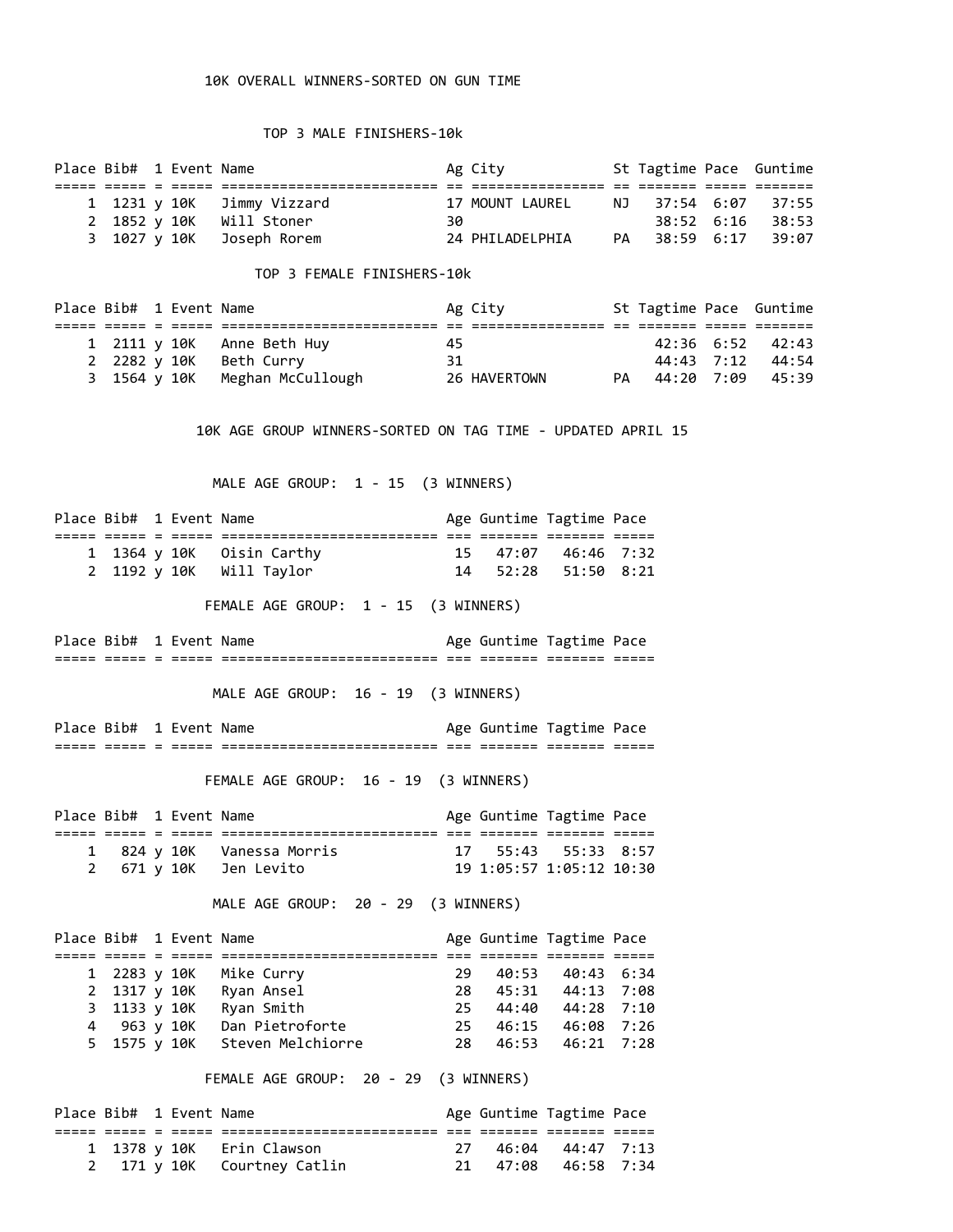## 10K OVERALL WINNERS-SORTED ON GUN TIME

## TOP 3 MALE FINISHERS-10k

|  | Place Bib# 1 Event Name |                            |     | Ag City         | St Tagtime Pace Guntime |         |
|--|-------------------------|----------------------------|-----|-----------------|-------------------------|---------|
|  |                         |                            |     |                 |                         |         |
|  |                         | 1 1231 y 10K Jimmy Vizzard |     | 17 MOUNT LAUREL | NJ 37:54 6:07 37:55     |         |
|  |                         | 2 1852 y 10K Will Stoner   | 30. |                 | $38:52 \quad 6:16$      | - 38:53 |
|  |                         | 3 1027 y 10K Joseph Rorem  |     | 24 PHILADELPHIA | PA 38:59 6:17           | 39:07   |
|  |                         |                            |     |                 |                         |         |

## TOP 3 FEMALE FINISHERS-10k

|  | Place Bib# 1 Event Name |                                | Ag City      | St Tagtime Pace Guntime |                  |
|--|-------------------------|--------------------------------|--------------|-------------------------|------------------|
|  |                         |                                |              |                         |                  |
|  |                         | 1 2111 y 10K Anne Beth Huy     | 45           |                         | 42:36 6:52 42:43 |
|  |                         | 2 2282 y 10K Beth Curry        | 31           |                         | 44:43 7:12 44:54 |
|  |                         | 3 1564 y 10K Meghan McCullough | 26 HAVERTOWN | PA 44:20 7:09 45:39     |                  |

10K AGE GROUP WINNERS-SORTED ON TAG TIME - UPDATED APRIL 15

MALE AGE GROUP: 1 - 15 (3 WINNERS)

| Place Bib# 1 Event Name |  |                           |  | Age Guntime Tagtime Pace |  |
|-------------------------|--|---------------------------|--|--------------------------|--|
|                         |  |                           |  |                          |  |
|                         |  | 1 1364 y 10K Oisin Carthy |  | 15 47:07 46:46 7:32      |  |
|                         |  | 2 1192 y 10K Will Taylor  |  | 14 52:28 51:50 8:21      |  |
|                         |  |                           |  |                          |  |

FEMALE AGE GROUP: 1 - 15 (3 WINNERS)

Place Bib# 1 Event Name Age Guntime Tagtime Pace ===== ===== = ===== ========================== === ======= ======= =====

MALE AGE GROUP: 16 - 19 (3 WINNERS)

Place Bib# 1 Event Name Age Guntime Tagtime Pace ===== ===== = ===== ========================== === ======= ======= =====

FEMALE AGE GROUP: 16 - 19 (3 WINNERS)

| Place Bib# 1 Event Name |  |                            |  | Age Guntime Tagtime Pace |  |
|-------------------------|--|----------------------------|--|--------------------------|--|
|                         |  |                            |  |                          |  |
|                         |  | 1 824 y 10K Vanessa Morris |  | 17 55:43 55:33 8:57      |  |
|                         |  | 2 671 y 10K Jen Levito     |  | 19 1:05:57 1:05:12 10:30 |  |

MALE AGE GROUP: 20 - 29 (3 WINNERS)

| Place Bib# 1 Event Name |  |                                |     | Age Guntime Tagtime Pace |  |
|-------------------------|--|--------------------------------|-----|--------------------------|--|
|                         |  |                                |     |                          |  |
|                         |  | 1 2283 y 10K Mike Curry        | 29. | 40:53 40:43 6:34         |  |
|                         |  | 2 1317 y 10K Ryan Ansel        |     | 28 45:31 44:13 7:08      |  |
|                         |  | 3 1133 y 10K Ryan Smith        |     | 25 44:40 44:28 7:10      |  |
| 4 963 y 10K             |  | Dan Pietroforte                | 25  | 46:15 46:08 7:26         |  |
|                         |  | 5 1575 y 10K Steven Melchiorre |     | 28 46:53 46:21 7:28      |  |

FEMALE AGE GROUP: 20 - 29 (3 WINNERS)

| Place Bib# 1 Event Name |  |                             |  | Age Guntime Tagtime Pace |  |
|-------------------------|--|-----------------------------|--|--------------------------|--|
|                         |  |                             |  |                          |  |
|                         |  | 1 1378 y 10K Erin Clawson   |  | 27 46:04 44:47 7:13      |  |
|                         |  | 2 171 y 10K Courtney Catlin |  | 21 47:08 46:58 7:34      |  |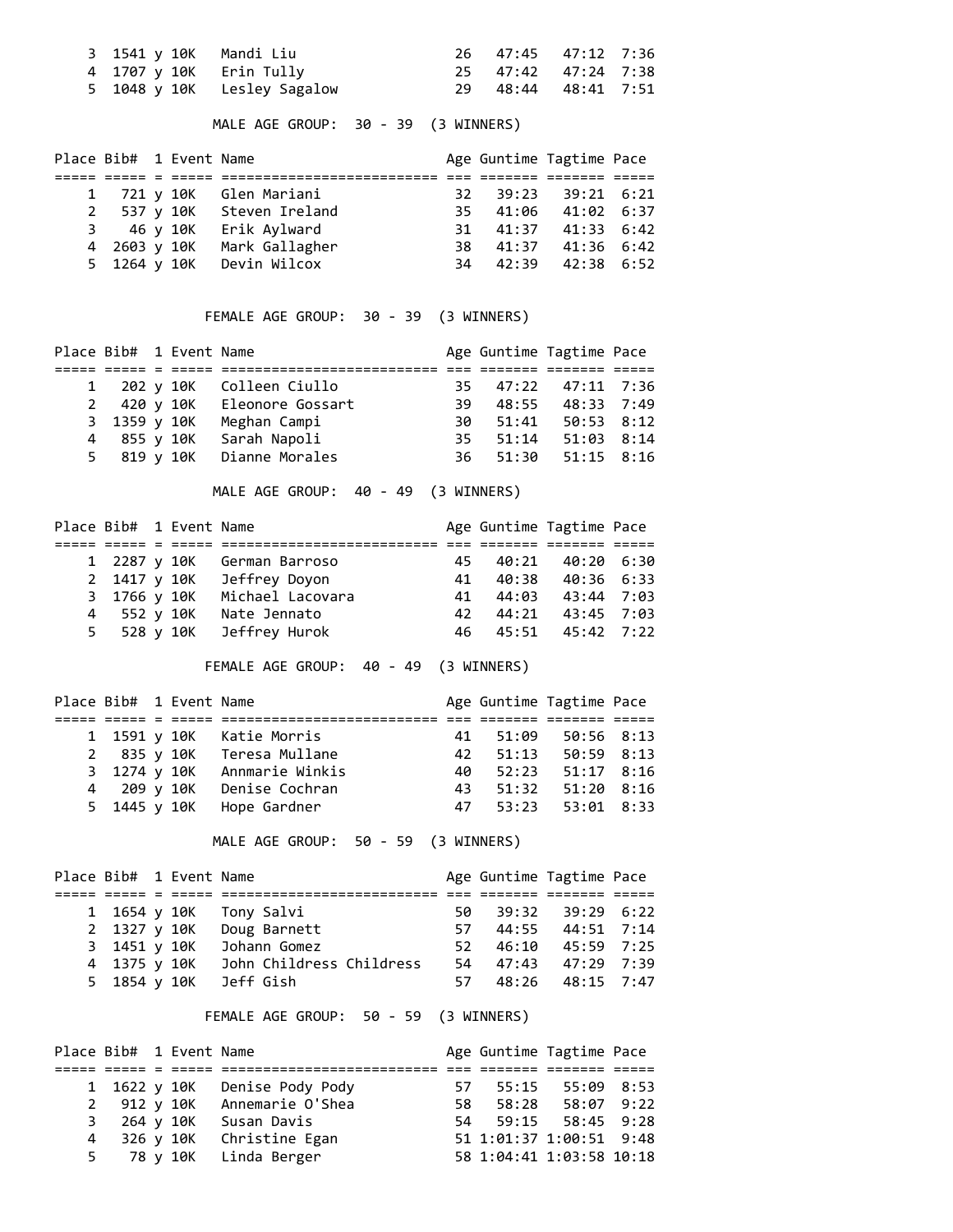| 3 1541 y 10K   Mandi Liu  |                             | 26 47:45 47:12 7:36 |  |
|---------------------------|-----------------------------|---------------------|--|
| 4 1707 y 10K   Erin Tully |                             | 25 47:42 47:24 7:38 |  |
|                           | 5 1048 y 10K Lesley Sagalow | 29 48:44 48:41 7:51 |  |

MALE AGE GROUP: 30 - 39 (3 WINNERS)

| Place Bib# 1 Event Name |  |                            |  | Age Guntime Tagtime Pace |  |
|-------------------------|--|----------------------------|--|--------------------------|--|
|                         |  |                            |  |                          |  |
|                         |  | 1 721 y 10K Glen Mariani   |  | 32 39:23 39:21 6:21      |  |
|                         |  | 2 537 y 10K Steven Ireland |  | 35 41:06 41:02 6:37      |  |
|                         |  | 3 46 y 10K Erik Aylward    |  | 31 41:37 41:33 6:42      |  |
| 4 2603 y 10K            |  | Mark Gallagher             |  | 38 41:37 41:36 6:42      |  |
|                         |  | 5 1264 y 10K Devin Wilcox  |  | 34 42:39 42:38 6:52      |  |

FEMALE AGE GROUP: 30 - 39 (3 WINNERS)

| Place Bib# 1 Event Name |  |                              |      |                  | Age Guntime Tagtime Pace |  |
|-------------------------|--|------------------------------|------|------------------|--------------------------|--|
|                         |  |                              |      |                  |                          |  |
|                         |  | 1 202 y 10K Colleen Ciullo   |      |                  | 35 47:22 47:11 7:36      |  |
|                         |  | 2 420 y 10K Eleonore Gossart | 39 - |                  | 48:55 48:33 7:49         |  |
|                         |  | 3 1359 y 10K Meghan Campi    |      |                  | 30 51:41 50:53 8:12      |  |
| 4 855 y 10K             |  | Sarah Napoli                 |      | $35 \quad 51:14$ | $51:03$ $8:14$           |  |
|                         |  | 5 819 y 10K Dianne Morales   |      |                  | 36 51:30 51:15 8:16      |  |

MALE AGE GROUP: 40 - 49 (3 WINNERS)

|              | Place Bib# 1 Event Name |                             |    | Age Guntime Tagtime Pace |  |
|--------------|-------------------------|-----------------------------|----|--------------------------|--|
|              |                         |                             |    |                          |  |
|              |                         | 1 2287 y 10K German Barroso | 45 | 40:21 40:20 6:30         |  |
|              |                         | 2 1417 y 10K Jeffrey Doyon  | 41 | 40:38 40:36 6:33         |  |
| 3 1766 y 10K |                         | Michael Lacovara            |    | 41 44:03 43:44 7:03      |  |
| 4 552 y 10K  |                         | Nate Jennato                |    | 42 44:21 43:45 7:03      |  |
|              |                         | 5 528 y 10K Jeffrey Hurok   |    | 46 45:51 45:42 7:22      |  |

FEMALE AGE GROUP: 40 - 49 (3 WINNERS)

| Place Bib# 1 Event Name |  |                              |    | Age Guntime Tagtime Pace |  |
|-------------------------|--|------------------------------|----|--------------------------|--|
|                         |  |                              |    |                          |  |
|                         |  | 1 1591 y 10K Katie Morris    | 41 | 51:09 50:56 8:13         |  |
|                         |  | 2 835 y 10K Teresa Mullane   |    | 42 51:13 50:59 8:13      |  |
|                         |  | 3 1274 y 10K Annmarie Winkis |    | 40 52:23 51:17 8:16      |  |
|                         |  | 4 209 y 10K Denise Cochran   | 43 | 51:32 51:20 8:16         |  |
|                         |  | 5 1445 y 10K Hope Gardner    |    | 47 53:23 53:01 8:33      |  |

MALE AGE GROUP: 50 - 59 (3 WINNERS)

| Place Bib# 1 Event Name |  |                          |  | Age Guntime Tagtime Pace |  |
|-------------------------|--|--------------------------|--|--------------------------|--|
|                         |  |                          |  |                          |  |
| 1 1654 y 10K            |  | Tony Salvi               |  | 50 39:32 39:29 6:22      |  |
| 2 1327 y 10K            |  | Doug Barnett             |  | 57 44:55 44:51 7:14      |  |
| 3 1451 y 10K            |  | Johann Gomez             |  | 52 46:10 45:59 7:25      |  |
| 4 1375 y 10K            |  | John Childress Childress |  | 54 47:43 47:29 7:39      |  |
| 5 1854 y 10K            |  | Jeff Gish                |  | 57 48:26 48:15 7:47      |  |

FEMALE AGE GROUP: 50 - 59 (3 WINNERS)

| Place Bib# 1 Event Name |  |                               |      |       | Age Guntime Tagtime Pace |  |
|-------------------------|--|-------------------------------|------|-------|--------------------------|--|
|                         |  |                               |      |       |                          |  |
|                         |  | 1 1622 y 10K Denise Pody Pody | 57 - | 55:15 | 55:09 8:53               |  |
|                         |  | 2 912 y 10K Annemarie O'Shea  | 58.  |       | 58:28 58:07 9:22         |  |
|                         |  | 3 264 y 10K Susan Davis       |      |       | 54 59:15 58:45 9:28      |  |
|                         |  | 4 326 y 10K Christine Egan    |      |       | 51 1:01:37 1:00:51 9:48  |  |
|                         |  | 5 78 y 10K Linda Berger       |      |       | 58 1:04:41 1:03:58 10:18 |  |